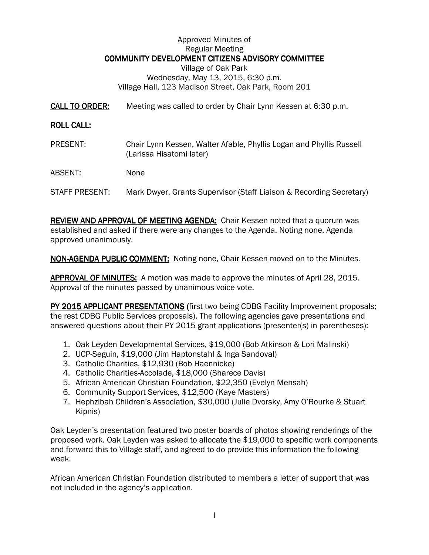## Approved Minutes of Regular Meeting COMMUNITY DEVELOPMENT CITIZENS ADVISORY COMMITTEE Village of Oak Park Wednesday, May 13, 2015, 6:30 p.m. Village Hall, 123 Madison Street, Oak Park, Room 201

CALL TO ORDER: Meeting was called to order by Chair Lynn Kessen at 6:30 p.m.

## **ROLL CALL:**

PRESENT: Chair Lynn Kessen, Walter Afable, Phyllis Logan and Phyllis Russell (Larissa Hisatomi later)

ABSENT: None

STAFF PRESENT: Mark Dwyer, Grants Supervisor (Staff Liaison & Recording Secretary)

REVIEW AND APPROVAL OF MEETING AGENDA: Chair Kessen noted that a quorum was established and asked if there were any changes to the Agenda. Noting none, Agenda approved unanimously.

NON-AGENDA PUBLIC COMMENT: Noting none, Chair Kessen moved on to the Minutes.

APPROVAL OF MINUTES: A motion was made to approve the minutes of April 28, 2015. Approval of the minutes passed by unanimous voice vote.

PY 2015 APPLICANT PRESENTATIONS (first two being CDBG Facility Improvement proposals; the rest CDBG Public Services proposals). The following agencies gave presentations and answered questions about their PY 2015 grant applications (presenter(s) in parentheses):

- 1. Oak Leyden Developmental Services, \$19,000 (Bob Atkinson & Lori Malinski)
- 2. UCP-Seguin, \$19,000 (Jim Haptonstahl & Inga Sandoval)
- 3. Catholic Charities, \$12,930 (Bob Haennicke)
- 4. Catholic Charities-Accolade, \$18,000 (Sharece Davis)
- 5. African American Christian Foundation, \$22,350 (Evelyn Mensah)
- 6. Community Support Services, \$12,500 (Kaye Masters)
- 7. Hephzibah Children's Association, \$30,000 (Julie Dvorsky, Amy O'Rourke & Stuart Kipnis)

Oak Leyden's presentation featured two poster boards of photos showing renderings of the proposed work. Oak Leyden was asked to allocate the \$19,000 to specific work components and forward this to Village staff, and agreed to do provide this information the following week.

African American Christian Foundation distributed to members a letter of support that was not included in the agency's application.